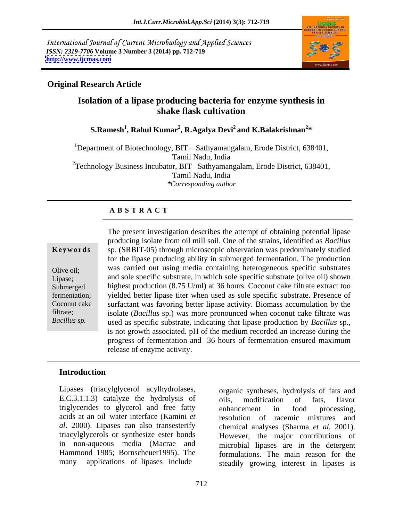International Journal of Current Microbiology and Applied Sciences *ISSN: 2319-7706* **Volume 3 Number 3 (2014) pp. 712-719 <http://www.ijcmas.com>**



### **Original Research Article**

## **Isolation of a lipase producing bacteria for enzyme synthesis in shake flask cultivation**

**S.Ramesh<sup>1</sup> , Rahul Kumar<sup>2</sup> , R.Agalya Devi<sup>2</sup> and K.Balakrishnan<sup>2</sup> \***

<sup>1</sup>Department of Biotechnology, BIT – Sathyamangalam, Erode District, 638401, Tamil Nadu, India  ${}^{2}$ Technology Business Incubator, BIT–Sathyamangalam, Erode District, 638401,<br>Tamil Nadu, India *\*Corresponding author*

### **A B S T R A C T**

**Ke ywo rds** sp. (SRBIT-05) through microscopic observation was predominately studied Olive oil; was carried out using media containing neterogeneous specific substrates<br>Lipase; and sole specific substrate, in which sole specific substrate (olive oil) shown Submerged highest production (8.75 U/ml) at 36 hours. Coconut cake filtrate extract too fermentation; yielded better lipase titer when used as sole specific substrate. Presence of Coconut cake surfactant was favoring better lipase activity. Biomass accumulation by the filtrate; isolate (*Bacillus* sp.) was more pronounced when coconut cake filtrate was *Bacillus sp.* used as specific substrate, indicating that lipase production by *Bacillus* sp., The present investigation describes the attempt of obtaining potential lipase producing isolate from oil mill soil. One of the strains, identified as *Bacillus* for the lipase producing ability in submerged fermentation. The production was carried out using media containing heterogeneous specific substrates is not growth associated. pH of the medium recorded an increase during the progress of fermentation and 36 hours of fermentation ensured maximum release of enzyme activity.

### **Introduction**

Lipases (triacylglycerol acylhydrolases, E.C.3.1.1.3) catalyze the hydrolysis of oils, modification of fats, flavor triglycerides to glycerol and free fatty enhancement in food processing, acids at an oil water interface (Kamini *et* 

*al*. 2000). Lipases can also transesterify chemical analyses (Sharma *et al.* 2001). triacylglycerols or synthesize ester bonds However, the major contributions of in non-aqueous media (Macrae and microbial lipases are in the detergent Hammond 1985; Bornscheuer1995). The formulations. The main reason for the many applications of lipases include steadily growing interest in lipases is organic syntheses, hydrolysis of fats and oils, modification of fats, flavor enhancement in food processing, resolution of racemic mixtures and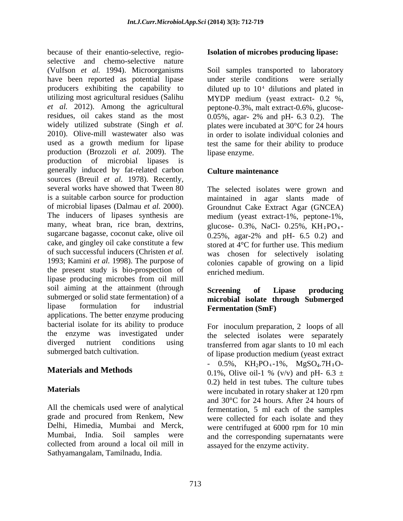because of their enantio-selective, regio selective and chemo-selective nature (Vulfson *et al.* 1994). Microorganisms have been reported as potential lipase under sterile conditions were serially producers exhibiting the capability to  $di$  diluted up to  $10<sup>4</sup>$  dilutions and plated in utilizing most agricultural residues (Salihu MYDP medium (veast extract- 0.2 %). *et al.* 2012). Among the agricultural peptone-0.3%, malt extract-0.6%, glucose residues, oil cakes stand as the most 0.05%, agar- 2% and pH- 6.3 0.2). The widely utilized substrate (Singh *et al.* plates were incubated at 30°C for 24 hours 2010). Olive-mill wastewater also was used as a growth medium for lipase test the same for their ability to produce production (Brozzoli *et al.* 2009). The production of microbial lipases is generally induced by fat-related carbon sources (Breuil *et al.* 1978). Recently, several works have showed that Tween 80 The selected isolates were grown and is a suitable carbon source for production maintained in agar slants made of of microbial lipases (Dalmau *et al.* 2000). Groundnut Cake Extract Agar (GNCEA) The inducers of lipases synthesis are medium (yeast extract-1%, peptone-1%, many, wheat bran, rice bran, dextrins, glucose-  $0.3\%$ , NaCl-  $0.25\%$ , KH $_2$ PO $_4$ sugarcane bagasse, coconut cake, olive oil  $\qquad 0.25\%$ , agar-2% and pH- 6.5 0.2) and cake, and gingley oil cake constitute a few stored at  $\tilde{4}^{\circ}C$  for further use. This medium of such successful inducers (Christen *et al.* was chosen for selectively isolating 1993; Kamini *et al.* 1998). The purpose of the present study is bio-prospection of lipase producing microbes from oil mill soil aiming at the attainment (through Screening of Lipase producing submerged or solid state fermentation) of a lipase formulation for industrial **Fermentation (SmF)** applications. The better enzyme producing bacterial isolate for its ability to produce the enzyme was investigated under diverged nutrient conditions using transferred from agar slants to 10 ml each

All the chemicals used were of analytical grade and procured from Renkem, New collected from around a local oil mill in Sathyamangalam, Tamilnadu, India.

### **Isolation of microbes producing lipase:**

Soil samples transported to laboratory under sterile conditions were serially MYDP medium (yeast extract- 0.2 %, in order to isolate individual colonies and lipase enzyme.

### **Culture maintenance**

0.25%, agar-2% and pH- 6.5 0.2) and colonies capable of growing on a lipid enriched medium.

### **Screening of Lipase producing microbial isolate through Submerged Fermentation (SmF)**

submerged batch cultivation. of lipase production medium (yeast extract **Materials and Methods**  $0.1\%$ , Olive oil-1 % (v/v) and pH- 6.3  $\pm$ **Materials** were incubated in rotary shaker at 120 rpm Delhi, Himedia, Mumbai and Merck, were centrifuged at 6000 rpm for 10 min Mumbai, India. Soil samples were and the corresponding supernatants were For inoculum preparation, 2 loops of all the selected isolates were separately -  $0.5\%$ , KH<sub>2</sub>PO<sub>4</sub>-1%, MgSO<sub>4</sub>.7H<sub>2</sub>O-0.2) held in test tubes. The culture tubes were incubated in rotary shaker at 120 rpm and 30°C for 24 hours. After 24 hours of fermentation, 5 ml each of the samples were collected for each isolate and they assayed for the enzyme activity.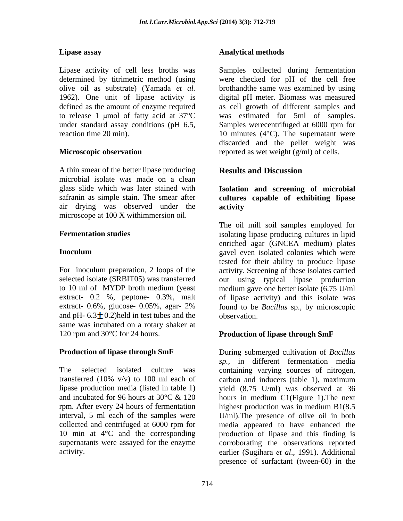A thin smear of the better lipase producing **Results and Discussion** microbial isolate was made on a clean glass slide which was later stained with **Isolation and screening of microbial** safranin as simple stain. The smear after **cultures capable of exhibiting lipase** air drying was observed under the microscope at 100 X withimmersion oil.

and pH-  $6.3 \pm 0.2$ )held in test tubes and the observation. same was incubated on a rotary shaker at 120 rpm and 30°C for 24 hours. **Production of lipase through SmF**

interval, 5 ml each of the samples were

### **Lipase assay Analytical methods**

Lipase activity of cell less broths was Samples collected during fermentation determined by titrimetric method (using were checked for pH of the cell free olive oil as substrate) (Yamada *et al.* brothandthe same was examined by using 1962). One unit of lipase activity is digital pH meter. Biomass was measured defined as the amount of enzyme required as cell growth of different samples and to release 1 µmol of fatty acid at  $37^{\circ}$ C was estimated for 5ml of samples. under standard assay conditions (pH 6.5, Samples werecentrifuged at 6000 rpm for reaction time 20 min).  $10 \text{ minutes } (4^{\circ}C)$ . The supernatant were **Microscopic observation** exercise that the reported as wet weight (g/ml) of cells. discarded and the pellet weight was

### **Results and Discussion**

# **activity**

**Fermentation studies isolating lipase producing cultures in lipid Inoculum** gavel even isolated colonies which were For inoculum preparation, 2 loops of the activity. Screening of these isolates carried selected isolate (SRBIT05) was transferred out using typical lipase production to 10 ml of MYDP broth medium (yeast medium gave one better isolate (6.75 U/ml extract- 0.2 %, peptone- 0.3%, malt of lipase activity) and this isolate was extract- 0.6%, glucose- 0.05%, agar- 2% found to be *Bacillus* sp.*,* by microscopic The oil mill soil samples employed for enriched agar (GNCEA medium) plates tested for their ability to produce lipase observation.

**Production of lipase through SmF** During submerged cultivation of *Bacillus*  The selected isolated culture was containing varying sources of nitrogen, transferred (10% v/v) to 100 ml each of carbon and inducers (table 1), maximum lipase production media (listed in table 1) yield (8.75 U/ml) was observed at 36 and incubated for 96 hours at 30°C & 120 hours in medium C1(Figure 1).The next rpm. After every 24 hours of fermentation highest production was in medium B1(8.5 collected and centrifuged at 6000 rpm for media appeared to have enhanced the 10 min at 4°C and the corresponding production of lipase and this finding is supernatants were assayed for the enzyme corroborating the observations reported activity. earlier (Sugihara *et al*., 1991). Additional *sp.,* in different fermentation media U/ml).The presence of olive oil in both presence of surfactant (tween-60) in the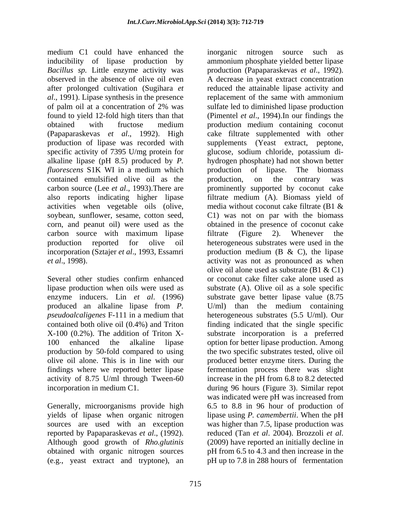medium C1 could have enhanced the inorganic nitrogen source such as inducibility of lipase production by *Bacillus sp.* Little enzyme activity was observed in the absence of olive oil even A decrease in yeast extract concentration after prolonged cultivation (Sugihara *et*  reduced the attainable lipase activity and *al*., 1991). Lipase synthesis in the presence replacement of the same with ammonium of palm oil at a concentration of 2% was found to yield 12-fold high titers than that (Pimentel *et al*., 1994).In our findings the obtained with fructose medium production medium containing coconut (Papaparaskevas *et al*., 1992). High cake filtrate supplemented with other production of lipase was recorded with supplements (Yeast extract, peptone, specific activity of 7395 U/mg protein for glucose, sodium chloride, potassium di alkaline lipase (pH 8.5) produced by *P. fluorescens* S1K WI in a medium which production of lipase. The biomass contained emulsified olive oil as the production, on the contrary was carbon source (Lee *et al*., 1993).There are prominently supported by coconut cake also reports indicating higher lipase filtrate medium (A). Biomass yield of activities when vegetable oils (olive, media without coconut cake filtrate (B1 & soybean, sunflower, sesame, cotton seed, C1) was not on par with the biomass corn, and peanut oil) were used as the obtained in the presence of coconut cake carbon source with maximum lipase filtrate (Figure 2). Whenever the production reported for olive oil heterogeneous substrates were used in the incorporation (Sztajer *et al*., 1993, Essamri production medium (B & C), the lipase *et al*., 1998). activity was not as pronounced as when

activity of 8.75 U/ml through Tween-60

reported by Papaparaskevas *et al*., (1992). Although good growth of *Rho.glutinis*

Several other studies confirm enhanced or coconut cake filter cake alone used as lipase production when oils were used as substrate (A). Olive oil as a sole specific enzyme inducers. Lin *et al*. (1996) substrate gave better lipase value (8.75 produced an alkaline lipase from *P.*  U/ml) than the medium containing *pseudoalcaligenes* F-111 in a medium that contained both olive oil (0.4%) and Triton finding indicated that the single specific X-100 (0.2%). The addition of Triton X- substrate incorporation is a preferred 100 enhanced the alkaline lipase option for better lipase production. Among production by 50-fold compared to using the two specific substrates tested, olive oil olive oil alone. This is in line with our produced better enzyme titers. During the findings where we reported better lipase fermentation process there was slight incorporation in medium C1. during 96 hours (Figure 3). Similar repot Generally, microorganisms provide high 6.5 to 8.8 in 96 hour of production of yields of lipase when organic nitrogen lipase using *P. camembertii*. When the pH sources are used with an exception was higher than 7.5, lipase production was obtained with organic nitrogen sources pH from 6.5 to 4.3 and then increase in the (e.g., yeast extract and tryptone), an pH up to 7.8 in 288 hours of fermentation inorganic nitrogen source such as ammonium phosphate yielded better lipase production (Papaparaskevas *et al*., 1992). sulfate led to diminished lipase production hydrogen phosphate) had not shown better production of lipase. The biomass production, on the contrary was media without coconut cake filtrate (B1 & filtrate (Figure 2). Whenever the olive oil alone used as substrate (B1 & C1) or coconut cake filter cake alone used as heterogeneous substrates (5.5 U/ml). Our increase in the pH from 6.8 to 8.2 detected was indicated were pH was increased from reduced (Tan *et al*. 2004). Brozzoli *et al*. (2009) have reported an initially decline in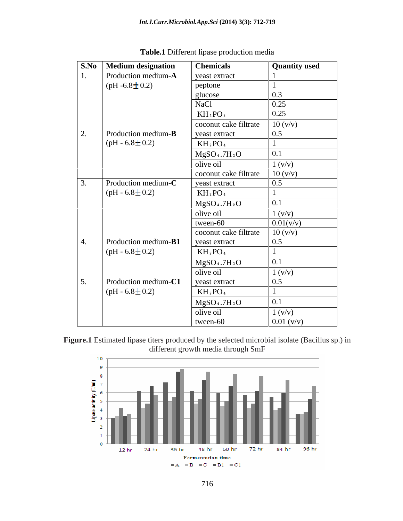|     | <b>S.No</b> Medium designation | <b>Chemicals</b>                     | <b>Quantity used</b> |
|-----|--------------------------------|--------------------------------------|----------------------|
|     | Production medium-A            | yeast extract                        |                      |
|     | (pH -6.8 $\pm$ 0.2)            | peptone                              |                      |
|     |                                | glucose                              | 0.3                  |
|     |                                | <b>NaCl</b>                          | 0.25                 |
|     |                                | $KH_2PO_4$                           | 0.25                 |
|     |                                | coconut cake filtrate                | 10 (v/v)             |
| 2.  | Production medium- <b>B</b>    | yeast extract                        | 0.5                  |
|     | (pH - $6.8 \pm 0.2$ )          | $KH_2PO_4$                           |                      |
|     |                                | MgSO <sub>4</sub> .7H <sub>2</sub> O | 0.1                  |
|     |                                | olive oil                            | 1 (v/v)              |
|     |                                | coconut cake filtrate                | 10 (v/v)             |
| 3.  | Production medium-C            | yeast extract                        | 0.5                  |
|     | (pH - $6.8 \pm 0.2$ )          | $KH_2PO_4$                           |                      |
|     |                                | MgSO <sub>4</sub> .7H <sub>2</sub> O | 0.1                  |
|     |                                | olive oil                            | 1 (v/v)              |
|     |                                | $two$ en-60                          | 0.01(v/v)            |
|     |                                | coconut cake filtrate                | 10 (v/v)             |
| -4. | Production medium-B1           | yeast extract                        | 0.5                  |
|     | $(pH - 6.8 \pm 0.2)$           | $KH_2PO_4$                           |                      |
|     |                                | MgSO <sub>4</sub> .7H <sub>2</sub> O | 0.1                  |
|     |                                | olive oil                            | 1 (v/v)              |
| 5.  | Production medium-C1           | yeast extract                        | 0.5                  |
|     | $(pH - 6.8 \pm 0.2)$           | $KH_2PO_4$                           |                      |
|     |                                | MgSO <sub>4</sub> .7H <sub>2</sub> O | 0.1                  |
|     |                                | olive oil                            | 1 (v/v)              |
|     |                                | tween-60                             | $0.01 \, (v/v)$      |

**Table.1** Different lipase production media



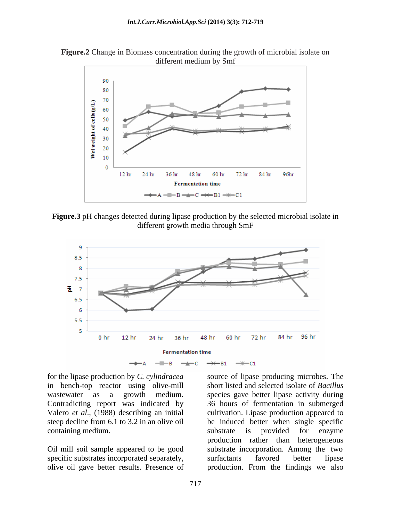



**Figure.3** pH changes detected during lipase production by the selected microbial isolate in different growth media through SmF



containing medium. Substrate is provided for enzyme

specific substrates incorporated separately, surfactants favored better lipse olive oil gave better results. Presence of

for the lipase production by *C. cylindracea* source of lipase producing microbes. The in bench-top reactor using olive-mill short listed and selected isolate of *Bacillus* wastewater as a growth medium. species gave better lipase activity during Contradicting report was indicated by 36 hours of fermentation in submerged Valero *et al*., (1988) describing an initial cultivation. Lipase production appeared to steep decline from 6.1 to 3.2 in an olive oil be induced better when single specific Oil mill soil sample appeared to be good substrate incorporation. Among the two substrate is provided for enzyme production rather than heterogeneous surfactants favored better lipase production. From the findings we also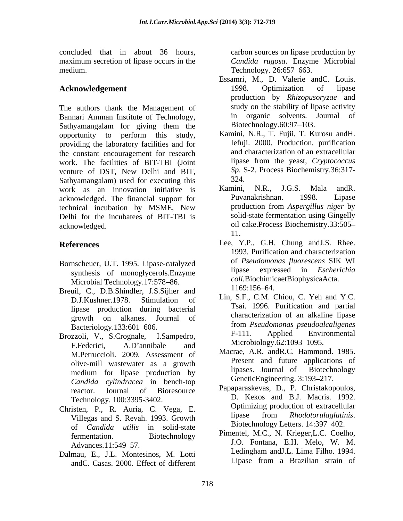concluded that in about 36 hours, carbon sources on lipase production by maximum secretion of lipase occurs in the medium. Technology. 26:657–663.

The authors thank the Management of study on the stability of lipase activity<br>Bannari Amman Institute of Technology in organic solvents. Journal of Bannari Amman Institute of Technology, and in organic solvents.<br>Sathyamangalam for giving them the Biotechnology.60:97–103. Sathyamangalam for giving them the opportunity to perform this study, providing the laboratory facilities and for the constant encouragement for research and characterization of an extracellular<br>work The facilities of RIT-TRI (Joint lipase from the yeast, Cryptococcus work. The facilities of BIT-TBI (Joint venture of DST, New Delhi and BIT,  $\frac{Sp. S}{324}$ Sathyamangalam) used for executing this  $\frac{324}{100}$ .<br>work as an innovation initiative is Kamini, N.R., J.G.S. Mala and R. work as an innovation initiative is Kamini, N.R., J.G.S. Mala and R.<br>acknowledged The financial support for Puvanakrishnan. 1998. Lipase acknowledged. The financial support for technical incubation by MSME, New Delhi for the incubatees of BIT-TBI is acknowledged. oil cake.Process Biochemistry.33:505

- synthesis of monoglycerols.Enzyme Microbial Technology.17:578–86. *coll.* Biochimic<br>uil C. D. B. Shindler, J. S. Siiber, and 1169:156–64.
- Breuil, C., D.B.Shindler, J.S.Sijher and lipase production during bacterial
- Brozzoli, V., S.Crognale, I.Sampedro, F.Federici, A.D'annibale and MICropiology. 02:1093-1095. M.Petruccioli. 2009. Assessment of medium for lipase production by *Candida cylindracea* in bench-top Technology. 100:3395-3402.
- Christen, P., R. Auria, C. Vega, E.<br>Villages and S. Bayab 1993 Growth lipase from *Rhodotorulaglutinis*. Villegas and S. Revah. 1993. Growth hypes and S. Revah. 1993. Growth hypes is the upper version of Candida utilis in solid state Biotechnology Letters. 14:397–402. of *Candida utilis* in solid-state
- andC. Casas. 2000. Effect of different

*Candida rugosa*. Enzyme Microbial Technology. 26:657–663.

- Acknowledgement 1998. Optimization of lipase Essamri, M., D. Valerie andC. Louis. 1998. Optimization of lipase production by *Rhizopusoryzae* and study on the stability of lipase activity in organic solvents. Journal of Biotechnology.60:97–103.
	- Kamini, N.R., T. Fujii, T. Kurosu andH. Iefuji. 2000. Production, purification and characterization of an extracellular lipase from the yeast, *Cryptococcus Sp*. S-2. Process Biochemistry.36:317- 324.
	- Kamini, N.R., J.G.S. Mala andR. Puvanakrishnan. 1998. Lipase production from *Aspergillus niger* by solid-state fermentation using Gingelly 11.
- **References** Lee, Y.P., G.H. Chung andJ.S. Rhee. Bornscheuer, U.T. 1995. Lipase-catalyzed of Pseudomonas fluorescens SIK WI 1993. Purification and characterization of *Pseudomonas fluorescens* SIK WI lipase expressed in *Escherichia coli.*BiochimicaetBiophysicaActa. 1169:156 64.
	- D.J.Kushner.1978. Stimulation of  $\Box$  Eln, S.F., C.M. Chiou, C. i.en and i.C. growth on alkanes. Journal of Bacteriology.133:601 606. Lin, S.F., C.M. Chiou, C. Yeh and Y.C. Tsai. 1996. Purification and partial characterization of an alkaline lipase from *Pseudomonas pseudoalcaligenes* F-111. Applied Environmental Microbiology.62:1093-1095.
	- olive-mill wastewater as a growth<br>medium for linese production by linesses. Journal of Biotechnology Macrae, A.R. andR.C. Hammond. 1985. Present and future applications of lipases. Journal of Biotechnology GeneticEngineering. 3:193-217.
	- reactor. Journal of Bioresource Papaparaskevas, D., P. Christakopoulos, Papaparaskevas, D., P. Christakopoulos, D. Kekos and B.J. Macris. 1992. Optimizing production of extracellular lipase from *Rhodotorulaglutinis*. Biotechnology Letters. 14:397 402.
- fermentation. Biotechnology Pimentel, M.C., N. Krieger, L.C. Coeino, Advances.11:549–57. 1.0. Fontana, E.H. Melo, W. M. Dalmau, E., J.L. Montesinos, M. Lotti Ledingham and J.L. Lima Filho. 1994. Pimentel, M.C., N. Krieger,L.C. Coelho, J.O. Fontana, E.H. Melo, W. M. Ledingham andJ.L. Lima Filho. 1994. Lipase from a Brazilian strain of